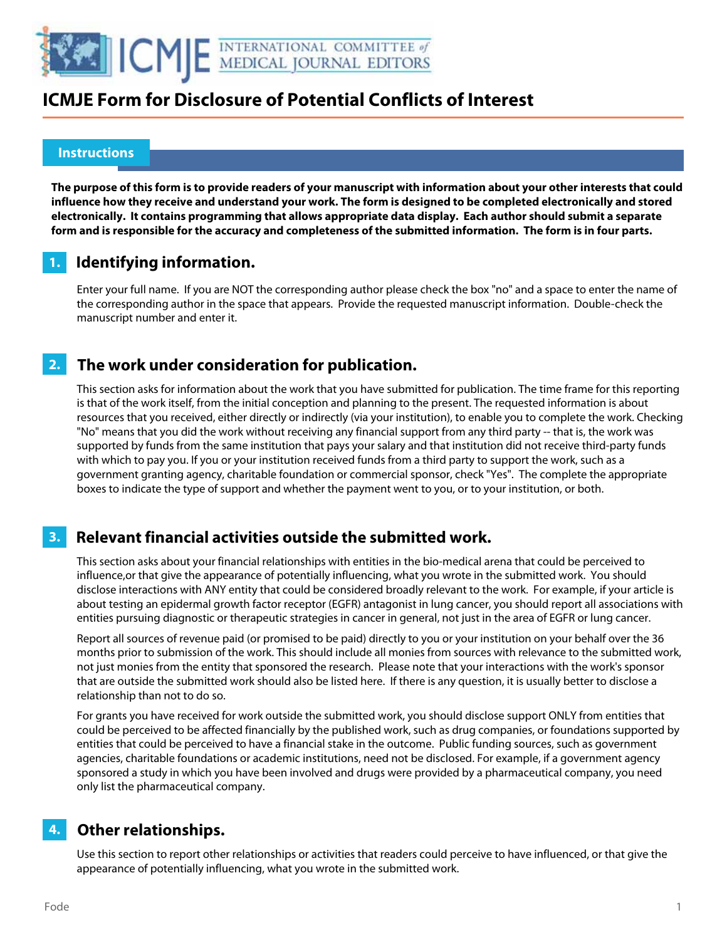

### **Instructions**

l

**The purpose of this form is to provide readers of your manuscript with information about your other interests that could influence how they receive and understand your work. The form is designed to be completed electronically and stored electronically. It contains programming that allows appropriate data display. Each author should submit a separate form and is responsible for the accuracy and completeness of the submitted information. The form is in four parts.** 

#### **Identifying information. 1.**

Enter your full name. If you are NOT the corresponding author please check the box "no" and a space to enter the name of the corresponding author in the space that appears. Provide the requested manuscript information. Double-check the manuscript number and enter it.

#### **The work under consideration for publication. 2.**

This section asks for information about the work that you have submitted for publication. The time frame for this reporting is that of the work itself, from the initial conception and planning to the present. The requested information is about resources that you received, either directly or indirectly (via your institution), to enable you to complete the work. Checking "No" means that you did the work without receiving any financial support from any third party -- that is, the work was supported by funds from the same institution that pays your salary and that institution did not receive third-party funds with which to pay you. If you or your institution received funds from a third party to support the work, such as a government granting agency, charitable foundation or commercial sponsor, check "Yes". The complete the appropriate boxes to indicate the type of support and whether the payment went to you, or to your institution, or both.

### **Relevant financial activities outside the submitted work. 3.**

This section asks about your financial relationships with entities in the bio-medical arena that could be perceived to influence,or that give the appearance of potentially influencing, what you wrote in the submitted work. You should disclose interactions with ANY entity that could be considered broadly relevant to the work. For example, if your article is about testing an epidermal growth factor receptor (EGFR) antagonist in lung cancer, you should report all associations with entities pursuing diagnostic or therapeutic strategies in cancer in general, not just in the area of EGFR or lung cancer.

Report all sources of revenue paid (or promised to be paid) directly to you or your institution on your behalf over the 36 months prior to submission of the work. This should include all monies from sources with relevance to the submitted work, not just monies from the entity that sponsored the research. Please note that your interactions with the work's sponsor that are outside the submitted work should also be listed here. If there is any question, it is usually better to disclose a relationship than not to do so.

For grants you have received for work outside the submitted work, you should disclose support ONLY from entities that could be perceived to be affected financially by the published work, such as drug companies, or foundations supported by entities that could be perceived to have a financial stake in the outcome. Public funding sources, such as government agencies, charitable foundations or academic institutions, need not be disclosed. For example, if a government agency sponsored a study in which you have been involved and drugs were provided by a pharmaceutical company, you need only list the pharmaceutical company.

### **Other relationships. 4.**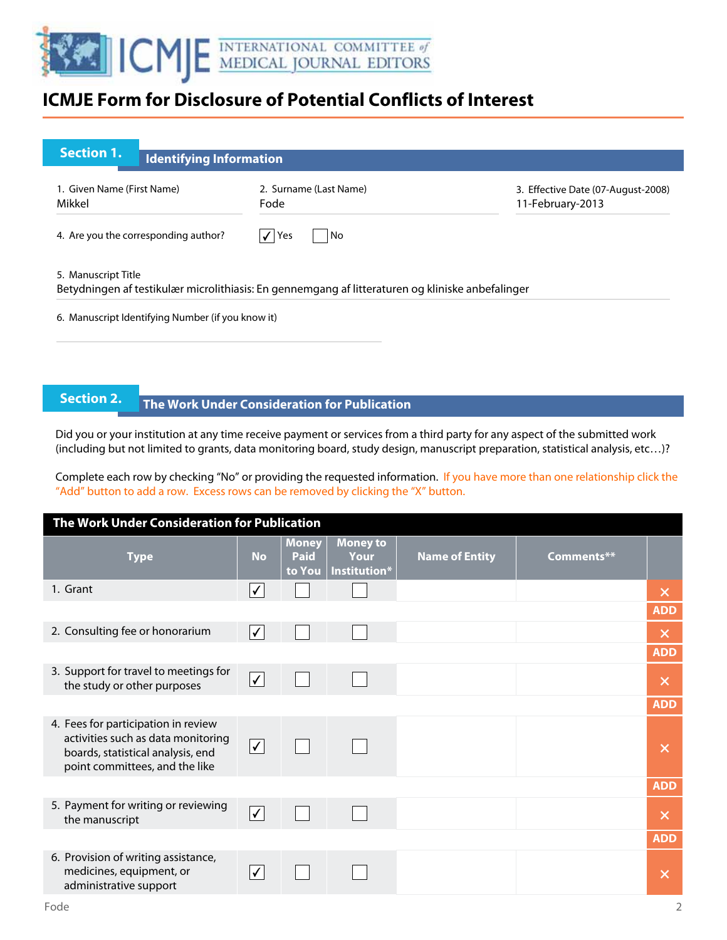

| <b>Section 1.</b><br><b>Identifying Information</b> |                                                                                                  |                                                        |
|-----------------------------------------------------|--------------------------------------------------------------------------------------------------|--------------------------------------------------------|
| 1. Given Name (First Name)<br>Mikkel                | 2. Surname (Last Name)<br>Fode                                                                   | 3. Effective Date (07-August-2008)<br>11-February-2013 |
| 4. Are you the corresponding author?                | $\sqrt{Y}$<br>l No                                                                               |                                                        |
| 5. Manuscript Title                                 | Betydningen af testikulær microlithiasis: En gennemgang af litteraturen og kliniske anbefalinger |                                                        |

6. Manuscript Identifying Number (if you know it)

### **The Work Under Consideration for Publication**

Did you or your institution at any time receive payment or services from a third party for any aspect of the submitted work (including but not limited to grants, data monitoring board, study design, manuscript preparation, statistical analysis, etc…)?

| The Work Under Consideration for Publication                                                                                                     |                      |                                       |                                         |                       |            |                       |  |  |
|--------------------------------------------------------------------------------------------------------------------------------------------------|----------------------|---------------------------------------|-----------------------------------------|-----------------------|------------|-----------------------|--|--|
| <b>Type</b>                                                                                                                                      | <b>No</b>            | <b>Money</b><br><b>Paid</b><br>to You | <b>Money to</b><br>Your<br>Institution* | <b>Name of Entity</b> | Comments** |                       |  |  |
| 1. Grant                                                                                                                                         | $ \mathcal{V} $      |                                       |                                         |                       |            | $\times$              |  |  |
|                                                                                                                                                  |                      |                                       |                                         |                       |            | <b>ADD</b>            |  |  |
| 2. Consulting fee or honorarium                                                                                                                  | $ \mathcal{V} $      |                                       |                                         |                       |            | $\times$              |  |  |
|                                                                                                                                                  |                      |                                       |                                         |                       |            | <b>ADD</b>            |  |  |
| 3. Support for travel to meetings for<br>the study or other purposes                                                                             | $\boxed{\checkmark}$ |                                       |                                         |                       |            | $\times$              |  |  |
|                                                                                                                                                  |                      |                                       |                                         |                       |            | <b>ADD</b>            |  |  |
| 4. Fees for participation in review<br>activities such as data monitoring<br>boards, statistical analysis, end<br>point committees, and the like | $\boxed{\checkmark}$ |                                       |                                         |                       |            | $\boldsymbol{\times}$ |  |  |
|                                                                                                                                                  |                      |                                       |                                         |                       |            | <b>ADD</b>            |  |  |
| 5. Payment for writing or reviewing<br>the manuscript                                                                                            | $\boxed{\checkmark}$ |                                       |                                         |                       |            | $\times$              |  |  |
|                                                                                                                                                  |                      |                                       |                                         |                       |            | <b>ADD</b>            |  |  |
| 6. Provision of writing assistance,<br>medicines, equipment, or<br>administrative support                                                        | $\blacktriangledown$ |                                       |                                         |                       |            | $\times$              |  |  |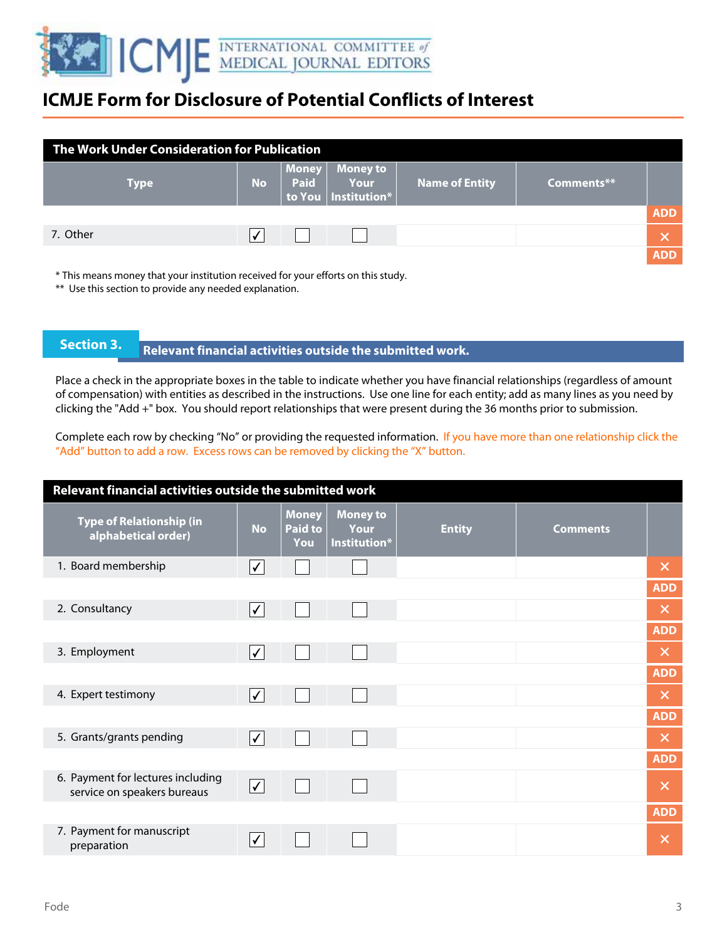

| The Work Under Consideration for Publication |             |           |              |                                                                                                                                      |                       |            |            |
|----------------------------------------------|-------------|-----------|--------------|--------------------------------------------------------------------------------------------------------------------------------------|-----------------------|------------|------------|
|                                              | <b>Type</b> | <b>No</b> | <b>Money</b> | Money to<br>$\begin{array}{ c c } \hline \texttt{Pad} & \texttt{Your} \\ \hline \texttt{to You} & \texttt{Institution*} \end{array}$ | <b>Name of Entity</b> | Comments** |            |
|                                              |             |           |              |                                                                                                                                      |                       |            | <b>ADD</b> |
| 7. Other                                     |             |           |              |                                                                                                                                      |                       |            | $\times$   |
|                                              |             |           |              |                                                                                                                                      |                       |            | <b>ADD</b> |

\* This means money that your institution received for your efforts on this study.

\*\* Use this section to provide any needed explanation.

### **Section 3.** Relevant financial activities outside the submitted work.

Place a check in the appropriate boxes in the table to indicate whether you have financial relationships (regardless of amount of compensation) with entities as described in the instructions. Use one line for each entity; add as many lines as you need by clicking the "Add +" box. You should report relationships that were present during the 36 months prior to submission.

| Relevant financial activities outside the submitted work         |                      |                                       |                                         |               |                 |                           |  |
|------------------------------------------------------------------|----------------------|---------------------------------------|-----------------------------------------|---------------|-----------------|---------------------------|--|
| <b>Type of Relationship (in</b><br>alphabetical order)           | <b>No</b>            | <b>Money</b><br><b>Paid to</b><br>You | <b>Money to</b><br>Your<br>Institution* | <b>Entity</b> | <b>Comments</b> |                           |  |
| 1. Board membership                                              | $\checkmark$         |                                       |                                         |               |                 | $\boldsymbol{\times}$     |  |
|                                                                  |                      |                                       |                                         |               |                 | <b>ADD</b>                |  |
| 2. Consultancy                                                   | $\blacktriangledown$ |                                       |                                         |               |                 | $\times$                  |  |
|                                                                  |                      |                                       |                                         |               |                 | <b>ADD</b>                |  |
| 3. Employment                                                    | $\blacktriangledown$ |                                       |                                         |               |                 | $\boldsymbol{\mathsf{x}}$ |  |
|                                                                  |                      |                                       |                                         |               |                 | <b>ADD</b>                |  |
| 4. Expert testimony                                              | $\checkmark$         |                                       |                                         |               |                 | $\boldsymbol{\mathsf{x}}$ |  |
|                                                                  |                      |                                       |                                         |               |                 | <b>ADD</b>                |  |
| 5. Grants/grants pending                                         | $\blacktriangledown$ |                                       |                                         |               |                 | $\boldsymbol{\mathsf{x}}$ |  |
|                                                                  |                      |                                       |                                         |               |                 | <b>ADD</b>                |  |
| 6. Payment for lectures including<br>service on speakers bureaus | $\boxed{\checkmark}$ |                                       |                                         |               |                 | $\times$                  |  |
|                                                                  |                      |                                       |                                         |               |                 | <b>ADD</b>                |  |
| 7. Payment for manuscript<br>preparation                         | $\checkmark$         |                                       |                                         |               |                 | $\times$                  |  |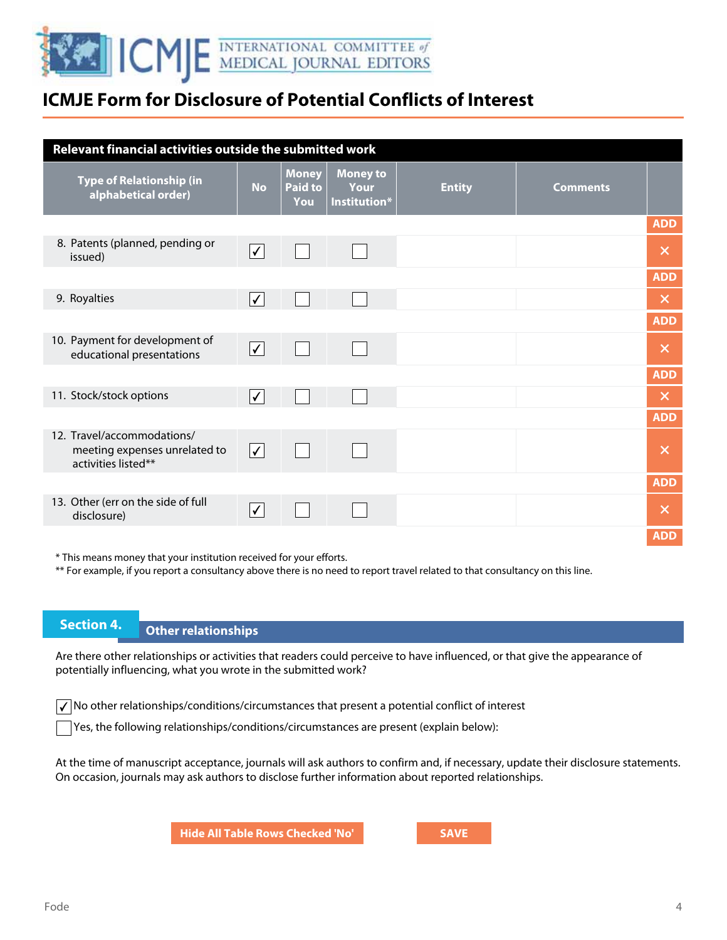

| Relevant financial activities outside the submitted work                           |                                 |                                       |                                         |               |                 |                           |  |  |
|------------------------------------------------------------------------------------|---------------------------------|---------------------------------------|-----------------------------------------|---------------|-----------------|---------------------------|--|--|
| <b>Type of Relationship (in</b><br>alphabetical order)                             | <b>No</b>                       | <b>Money</b><br><b>Paid to</b><br>You | <b>Money to</b><br>Your<br>Institution* | <b>Entity</b> | <b>Comments</b> |                           |  |  |
|                                                                                    |                                 |                                       |                                         |               |                 | <b>ADD</b>                |  |  |
| 8. Patents (planned, pending or<br>issued)                                         | $\overline{\blacktriangledown}$ |                                       |                                         |               |                 | $\times$                  |  |  |
|                                                                                    |                                 |                                       |                                         |               |                 | <b>ADD</b>                |  |  |
| 9. Royalties                                                                       | $\blacktriangledown$            |                                       |                                         |               |                 | $\boldsymbol{\mathsf{x}}$ |  |  |
|                                                                                    |                                 |                                       |                                         |               |                 | <b>ADD</b>                |  |  |
| 10. Payment for development of<br>educational presentations                        | $ \checkmark $                  |                                       |                                         |               |                 | $\boldsymbol{\times}$     |  |  |
|                                                                                    |                                 |                                       |                                         |               |                 | <b>ADD</b>                |  |  |
| 11. Stock/stock options                                                            | $\overline{\mathcal{V}}$        |                                       |                                         |               |                 | $\boldsymbol{\mathsf{x}}$ |  |  |
|                                                                                    |                                 |                                       |                                         |               |                 | <b>ADD</b>                |  |  |
| 12. Travel/accommodations/<br>meeting expenses unrelated to<br>activities listed** | $ \mathcal{V} $                 |                                       |                                         |               |                 | $\boldsymbol{\mathsf{x}}$ |  |  |
|                                                                                    |                                 |                                       |                                         |               |                 | <b>ADD</b>                |  |  |
| 13. Other (err on the side of full<br>disclosure)                                  | $ \boldsymbol{\checkmark} $     |                                       |                                         |               |                 | $\boldsymbol{\times}$     |  |  |
|                                                                                    |                                 |                                       |                                         |               |                 | <b>ADD</b>                |  |  |

\* This means money that your institution received for your efforts.

\*\* For example, if you report a consultancy above there is no need to report travel related to that consultancy on this line.

 **Other relationships Section 4.**

Are there other relationships or activities that readers could perceive to have influenced, or that give the appearance of potentially influencing, what you wrote in the submitted work?

 $\sqrt{\ }$  No other relationships/conditions/circumstances that present a potential conflict of interest

Yes, the following relationships/conditions/circumstances are present (explain below):

At the time of manuscript acceptance, journals will ask authors to confirm and, if necessary, update their disclosure statements. On occasion, journals may ask authors to disclose further information about reported relationships.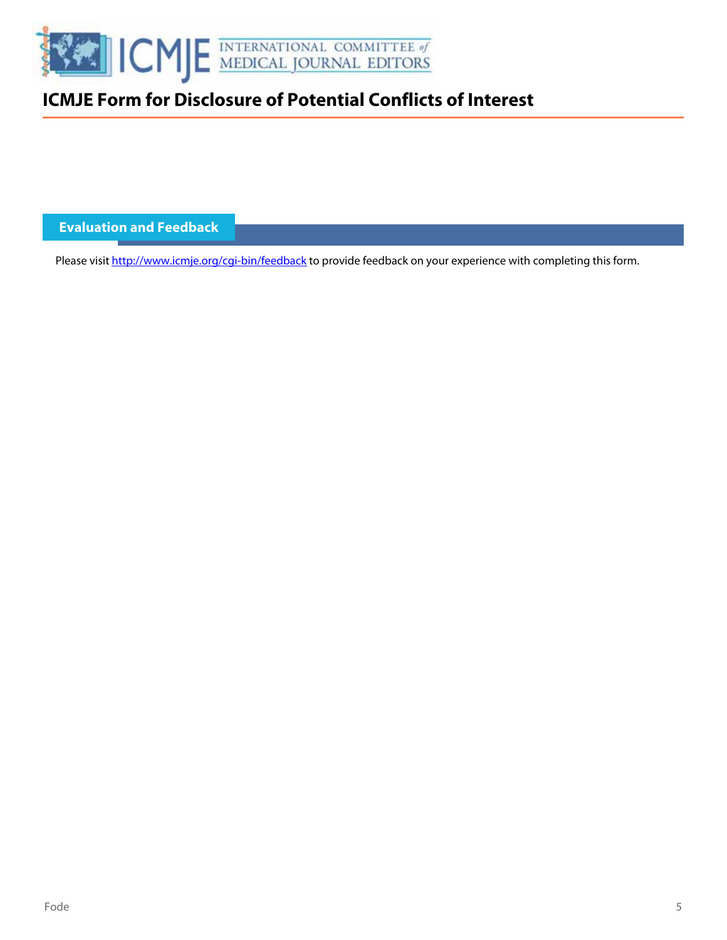

**Evaluation and Feedback**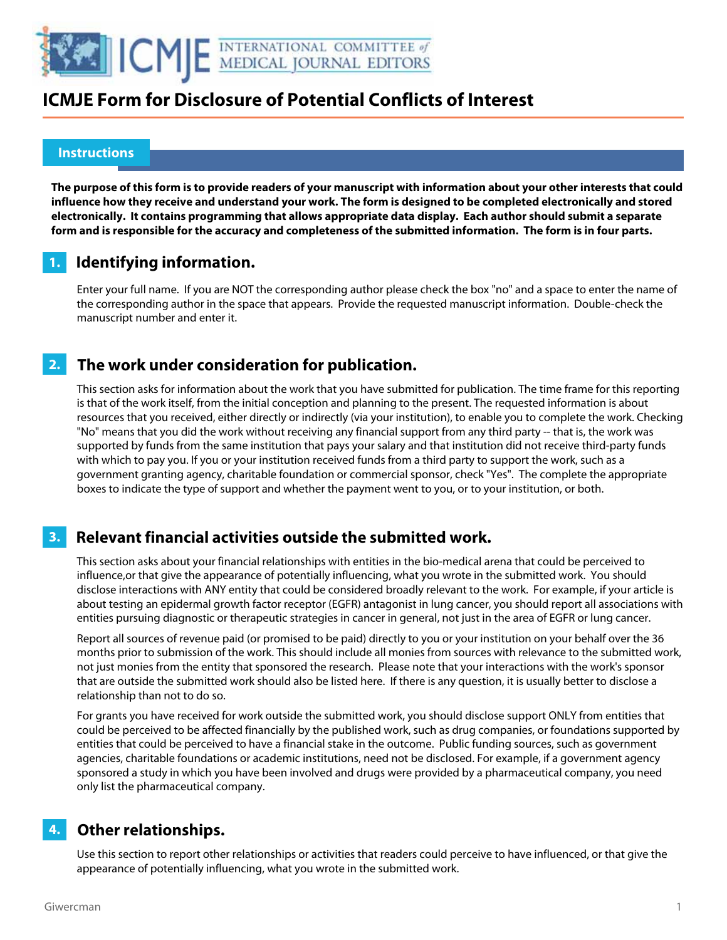

### **Instructions**

l

**The purpose of this form is to provide readers of your manuscript with information about your other interests that could influence how they receive and understand your work. The form is designed to be completed electronically and stored electronically. It contains programming that allows appropriate data display. Each author should submit a separate form and is responsible for the accuracy and completeness of the submitted information. The form is in four parts.** 

#### **Identifying information. 1.**

Enter your full name. If you are NOT the corresponding author please check the box "no" and a space to enter the name of the corresponding author in the space that appears. Provide the requested manuscript information. Double-check the manuscript number and enter it.

#### **The work under consideration for publication. 2.**

This section asks for information about the work that you have submitted for publication. The time frame for this reporting is that of the work itself, from the initial conception and planning to the present. The requested information is about resources that you received, either directly or indirectly (via your institution), to enable you to complete the work. Checking "No" means that you did the work without receiving any financial support from any third party -- that is, the work was supported by funds from the same institution that pays your salary and that institution did not receive third-party funds with which to pay you. If you or your institution received funds from a third party to support the work, such as a government granting agency, charitable foundation or commercial sponsor, check "Yes". The complete the appropriate boxes to indicate the type of support and whether the payment went to you, or to your institution, or both.

### **Relevant financial activities outside the submitted work. 3.**

This section asks about your financial relationships with entities in the bio-medical arena that could be perceived to influence,or that give the appearance of potentially influencing, what you wrote in the submitted work. You should disclose interactions with ANY entity that could be considered broadly relevant to the work. For example, if your article is about testing an epidermal growth factor receptor (EGFR) antagonist in lung cancer, you should report all associations with entities pursuing diagnostic or therapeutic strategies in cancer in general, not just in the area of EGFR or lung cancer.

Report all sources of revenue paid (or promised to be paid) directly to you or your institution on your behalf over the 36 months prior to submission of the work. This should include all monies from sources with relevance to the submitted work, not just monies from the entity that sponsored the research. Please note that your interactions with the work's sponsor that are outside the submitted work should also be listed here. If there is any question, it is usually better to disclose a relationship than not to do so.

For grants you have received for work outside the submitted work, you should disclose support ONLY from entities that could be perceived to be affected financially by the published work, such as drug companies, or foundations supported by entities that could be perceived to have a financial stake in the outcome. Public funding sources, such as government agencies, charitable foundations or academic institutions, need not be disclosed. For example, if a government agency sponsored a study in which you have been involved and drugs were provided by a pharmaceutical company, you need only list the pharmaceutical company.

### **Other relationships. 4.**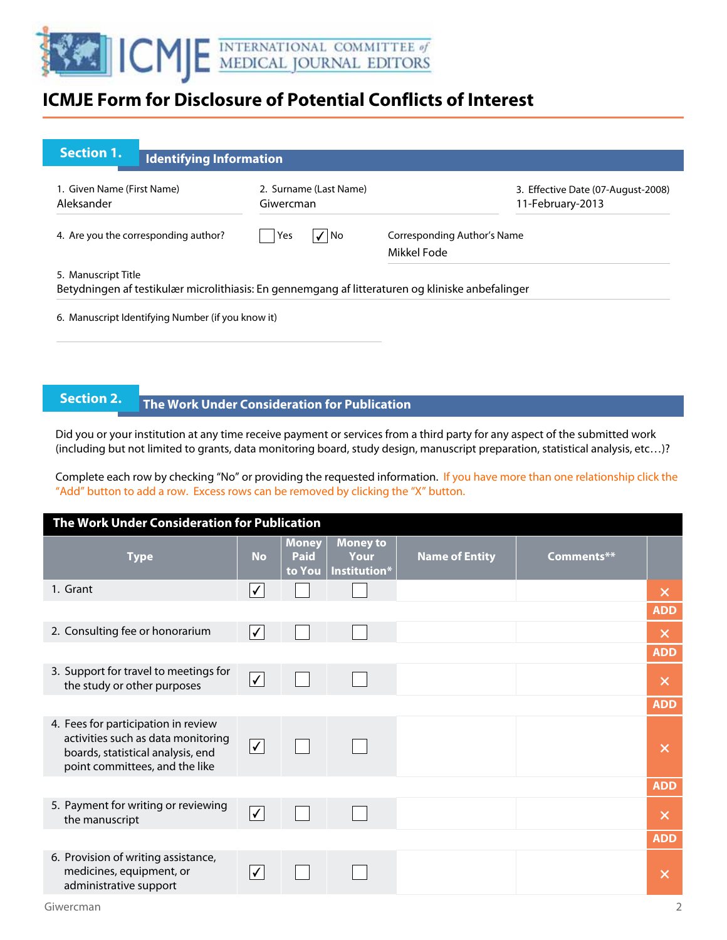

| <b>Section 1.</b>                        | <b>Identifying Information</b>       |                                     |              |                                                                                                  |                                                        |
|------------------------------------------|--------------------------------------|-------------------------------------|--------------|--------------------------------------------------------------------------------------------------|--------------------------------------------------------|
| 1. Given Name (First Name)<br>Aleksander |                                      | 2. Surname (Last Name)<br>Giwercman |              |                                                                                                  | 3. Effective Date (07-August-2008)<br>11-February-2013 |
|                                          | 4. Are you the corresponding author? | Yes                                 | $\sqrt{ NQ}$ | Corresponding Author's Name<br>Mikkel Fode                                                       |                                                        |
| 5. Manuscript Title                      |                                      |                                     |              | Betydningen af testikulær microlithiasis: En gennemgang af litteraturen og kliniske anbefalinger |                                                        |

6. Manuscript Identifying Number (if you know it)

### **The Work Under Consideration for Publication**

Did you or your institution at any time receive payment or services from a third party for any aspect of the submitted work (including but not limited to grants, data monitoring board, study design, manuscript preparation, statistical analysis, etc…)?

| The Work Under Consideration for Publication                                                                                                     |                                 |                                       |                                         |                       |            |            |  |  |
|--------------------------------------------------------------------------------------------------------------------------------------------------|---------------------------------|---------------------------------------|-----------------------------------------|-----------------------|------------|------------|--|--|
| <b>Type</b>                                                                                                                                      | <b>No</b>                       | <b>Money</b><br><b>Paid</b><br>to You | <b>Money to</b><br>Your<br>Institution* | <b>Name of Entity</b> | Comments** |            |  |  |
| 1. Grant                                                                                                                                         | $ \mathcal{V} $                 |                                       |                                         |                       |            | $\times$   |  |  |
|                                                                                                                                                  |                                 |                                       |                                         |                       |            | <b>ADD</b> |  |  |
| 2. Consulting fee or honorarium                                                                                                                  | $ \mathcal{V} $                 |                                       |                                         |                       |            | $\times$   |  |  |
|                                                                                                                                                  |                                 |                                       |                                         |                       |            | <b>ADD</b> |  |  |
| 3. Support for travel to meetings for<br>the study or other purposes                                                                             | $\overline{\blacktriangledown}$ |                                       |                                         |                       |            | $\times$   |  |  |
|                                                                                                                                                  |                                 |                                       |                                         |                       |            | <b>ADD</b> |  |  |
| 4. Fees for participation in review<br>activities such as data monitoring<br>boards, statistical analysis, end<br>point committees, and the like | $\sqrt{}$                       |                                       |                                         |                       |            | $\times$   |  |  |
|                                                                                                                                                  |                                 |                                       |                                         |                       |            | <b>ADD</b> |  |  |
| 5. Payment for writing or reviewing<br>the manuscript                                                                                            | $\boxed{\checkmark}$            |                                       |                                         |                       |            | $\times$   |  |  |
|                                                                                                                                                  |                                 |                                       |                                         |                       |            | <b>ADD</b> |  |  |
| 6. Provision of writing assistance,<br>medicines, equipment, or<br>administrative support                                                        | $\overline{\mathcal{V}}$        |                                       |                                         |                       |            | $\times$   |  |  |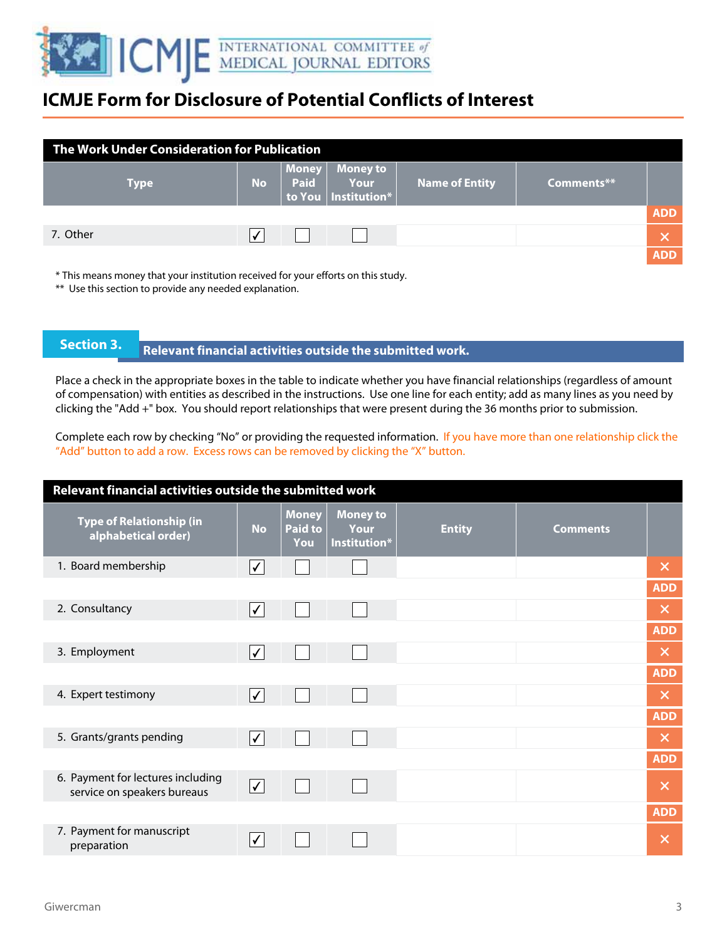

| The Work Under Consideration for Publication |             |           |              |                                                                                                                                      |                       |            |            |
|----------------------------------------------|-------------|-----------|--------------|--------------------------------------------------------------------------------------------------------------------------------------|-----------------------|------------|------------|
|                                              | <b>Type</b> | <b>No</b> | <b>Money</b> | Money to<br>$\begin{array}{ c c } \hline \texttt{Pad} & \texttt{Your} \\ \hline \texttt{to You} & \texttt{Institution*} \end{array}$ | <b>Name of Entity</b> | Comments** |            |
|                                              |             |           |              |                                                                                                                                      |                       |            | <b>ADD</b> |
| 7. Other                                     |             |           |              |                                                                                                                                      |                       |            | $\times$   |
|                                              |             |           |              |                                                                                                                                      |                       |            | <b>ADD</b> |

\* This means money that your institution received for your efforts on this study.

\*\* Use this section to provide any needed explanation.

### **Section 3.** Relevant financial activities outside the submitted work.

Place a check in the appropriate boxes in the table to indicate whether you have financial relationships (regardless of amount of compensation) with entities as described in the instructions. Use one line for each entity; add as many lines as you need by clicking the "Add +" box. You should report relationships that were present during the 36 months prior to submission.

| Relevant financial activities outside the submitted work         |                      |                                       |                                         |               |                 |                           |  |
|------------------------------------------------------------------|----------------------|---------------------------------------|-----------------------------------------|---------------|-----------------|---------------------------|--|
| <b>Type of Relationship (in</b><br>alphabetical order)           | <b>No</b>            | <b>Money</b><br><b>Paid to</b><br>You | <b>Money to</b><br>Your<br>Institution* | <b>Entity</b> | <b>Comments</b> |                           |  |
| 1. Board membership                                              | $\checkmark$         |                                       |                                         |               |                 | $\boldsymbol{\times}$     |  |
|                                                                  |                      |                                       |                                         |               |                 | <b>ADD</b>                |  |
| 2. Consultancy                                                   | $\blacktriangledown$ |                                       |                                         |               |                 | $\times$                  |  |
|                                                                  |                      |                                       |                                         |               |                 | <b>ADD</b>                |  |
| 3. Employment                                                    | $\blacktriangledown$ |                                       |                                         |               |                 | $\boldsymbol{\mathsf{x}}$ |  |
|                                                                  |                      |                                       |                                         |               |                 | <b>ADD</b>                |  |
| 4. Expert testimony                                              | $\blacktriangledown$ |                                       |                                         |               |                 | $\boldsymbol{\mathsf{x}}$ |  |
|                                                                  |                      |                                       |                                         |               |                 | <b>ADD</b>                |  |
| 5. Grants/grants pending                                         | √                    |                                       |                                         |               |                 | $\times$                  |  |
|                                                                  |                      |                                       |                                         |               |                 | <b>ADD</b>                |  |
| 6. Payment for lectures including<br>service on speakers bureaus | $\boxed{\checkmark}$ |                                       |                                         |               |                 | $\boldsymbol{\times}$     |  |
|                                                                  |                      |                                       |                                         |               |                 | <b>ADD</b>                |  |
| 7. Payment for manuscript<br>preparation                         | $\checkmark$         |                                       |                                         |               |                 | $\times$                  |  |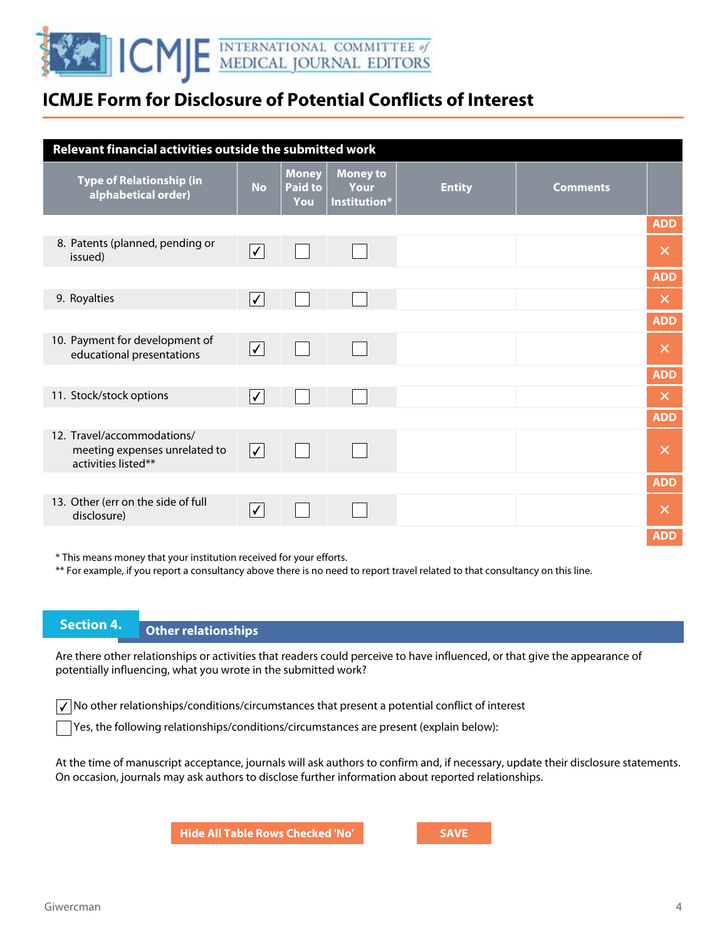

| Relevant financial activities outside the submitted work                           |                             |                                       |                                         |               |                 |                           |  |
|------------------------------------------------------------------------------------|-----------------------------|---------------------------------------|-----------------------------------------|---------------|-----------------|---------------------------|--|
| <b>Type of Relationship (in</b><br>alphabetical order)                             | <b>No</b>                   | <b>Money</b><br><b>Paid to</b><br>You | <b>Money to</b><br>Your<br>Institution* | <b>Entity</b> | <b>Comments</b> |                           |  |
|                                                                                    |                             |                                       |                                         |               |                 | <b>ADD</b>                |  |
| 8. Patents (planned, pending or<br>issued)                                         | $\boxed{\checkmark}$        |                                       |                                         |               |                 | $\overline{\mathsf{x}}$   |  |
|                                                                                    |                             |                                       |                                         |               |                 | <b>ADD</b>                |  |
| 9. Royalties                                                                       | $\blacktriangledown$        |                                       |                                         |               |                 | $\times$                  |  |
|                                                                                    |                             |                                       |                                         |               |                 | <b>ADD</b>                |  |
| 10. Payment for development of<br>educational presentations                        | $ \checkmark $              |                                       |                                         |               |                 | $\boldsymbol{\times}$     |  |
|                                                                                    |                             |                                       |                                         |               |                 | <b>ADD</b>                |  |
| 11. Stock/stock options                                                            | $\blacktriangledown$        |                                       |                                         |               |                 | $\times$                  |  |
|                                                                                    |                             |                                       |                                         |               |                 | <b>ADD</b>                |  |
| 12. Travel/accommodations/<br>meeting expenses unrelated to<br>activities listed** | $ \mathcal{V} $             |                                       |                                         |               |                 | $\boldsymbol{\mathsf{x}}$ |  |
|                                                                                    |                             |                                       |                                         |               |                 | <b>ADD</b>                |  |
| 13. Other (err on the side of full<br>disclosure)                                  | $ \boldsymbol{\checkmark} $ |                                       |                                         |               |                 | $\boldsymbol{\times}$     |  |
|                                                                                    |                             |                                       |                                         |               |                 | <b>ADD</b>                |  |

\* This means money that your institution received for your efforts.

\*\* For example, if you report a consultancy above there is no need to report travel related to that consultancy on this line.

 **Other relationships Section 4.**

Are there other relationships or activities that readers could perceive to have influenced, or that give the appearance of potentially influencing, what you wrote in the submitted work?

 $\sqrt{\ }$  No other relationships/conditions/circumstances that present a potential conflict of interest

Yes, the following relationships/conditions/circumstances are present (explain below):

At the time of manuscript acceptance, journals will ask authors to confirm and, if necessary, update their disclosure statements. On occasion, journals may ask authors to disclose further information about reported relationships.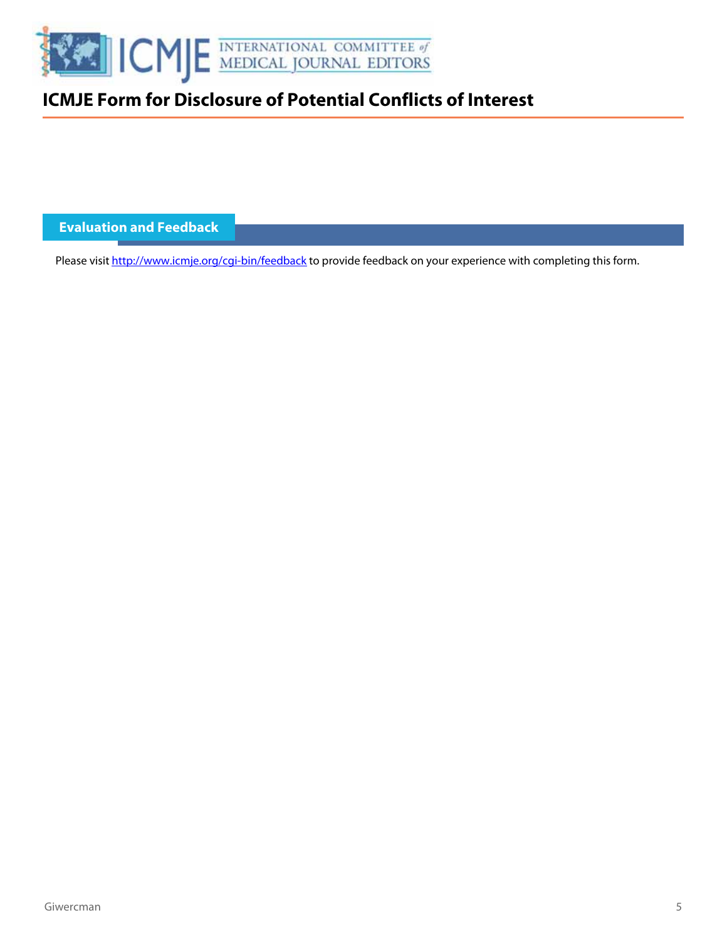

**Evaluation and Feedback**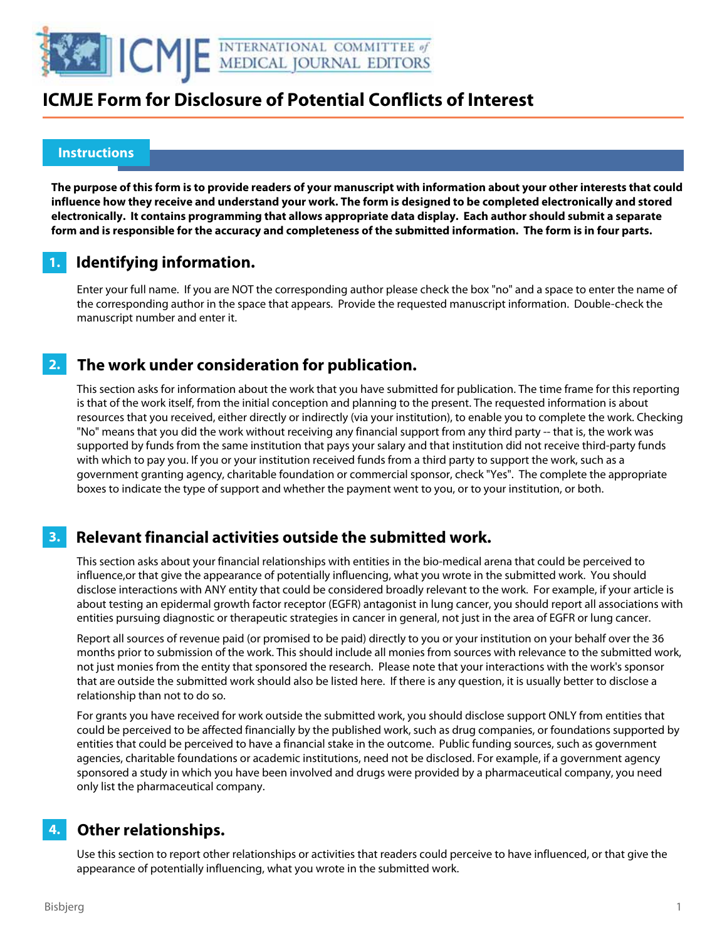

### **Instructions**

l

**The purpose of this form is to provide readers of your manuscript with information about your other interests that could influence how they receive and understand your work. The form is designed to be completed electronically and stored electronically. It contains programming that allows appropriate data display. Each author should submit a separate form and is responsible for the accuracy and completeness of the submitted information. The form is in four parts.** 

### **Identifying information. 1.**

Enter your full name. If you are NOT the corresponding author please check the box "no" and a space to enter the name of the corresponding author in the space that appears. Provide the requested manuscript information. Double-check the manuscript number and enter it.

#### **The work under consideration for publication. 2.**

This section asks for information about the work that you have submitted for publication. The time frame for this reporting is that of the work itself, from the initial conception and planning to the present. The requested information is about resources that you received, either directly or indirectly (via your institution), to enable you to complete the work. Checking "No" means that you did the work without receiving any financial support from any third party -- that is, the work was supported by funds from the same institution that pays your salary and that institution did not receive third-party funds with which to pay you. If you or your institution received funds from a third party to support the work, such as a government granting agency, charitable foundation or commercial sponsor, check "Yes". The complete the appropriate boxes to indicate the type of support and whether the payment went to you, or to your institution, or both.

### **Relevant financial activities outside the submitted work. 3.**

This section asks about your financial relationships with entities in the bio-medical arena that could be perceived to influence,or that give the appearance of potentially influencing, what you wrote in the submitted work. You should disclose interactions with ANY entity that could be considered broadly relevant to the work. For example, if your article is about testing an epidermal growth factor receptor (EGFR) antagonist in lung cancer, you should report all associations with entities pursuing diagnostic or therapeutic strategies in cancer in general, not just in the area of EGFR or lung cancer.

Report all sources of revenue paid (or promised to be paid) directly to you or your institution on your behalf over the 36 months prior to submission of the work. This should include all monies from sources with relevance to the submitted work, not just monies from the entity that sponsored the research. Please note that your interactions with the work's sponsor that are outside the submitted work should also be listed here. If there is any question, it is usually better to disclose a relationship than not to do so.

For grants you have received for work outside the submitted work, you should disclose support ONLY from entities that could be perceived to be affected financially by the published work, such as drug companies, or foundations supported by entities that could be perceived to have a financial stake in the outcome. Public funding sources, such as government agencies, charitable foundations or academic institutions, need not be disclosed. For example, if a government agency sponsored a study in which you have been involved and drugs were provided by a pharmaceutical company, you need only list the pharmaceutical company.

### **Other relationships. 4.**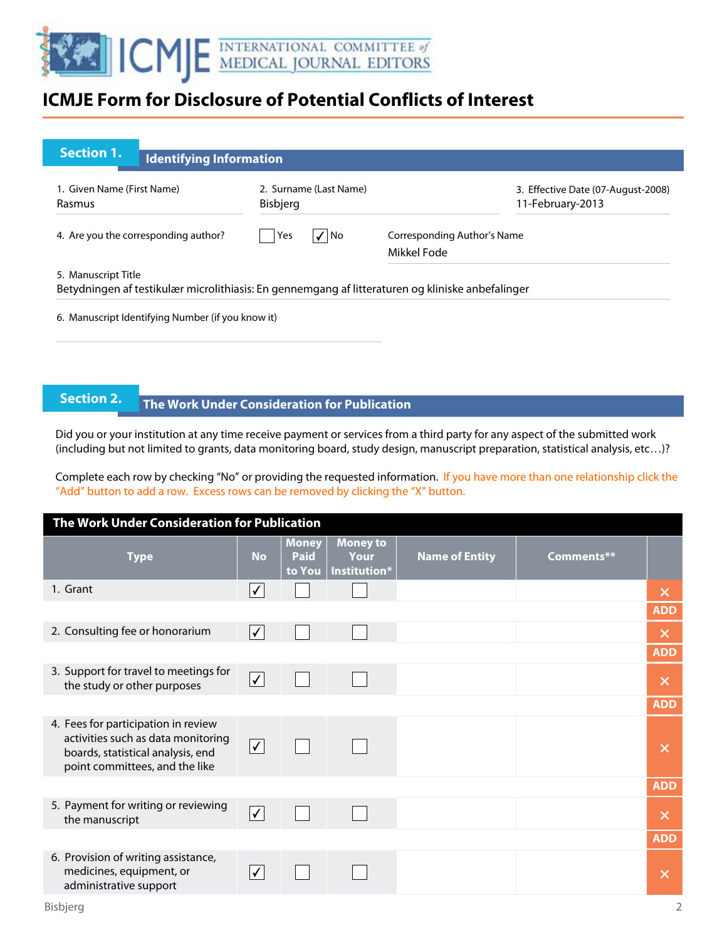

| <b>Section 1.</b>                    | <b>Identifying Information</b>       |                                           |                                                                                                  |                                                        |
|--------------------------------------|--------------------------------------|-------------------------------------------|--------------------------------------------------------------------------------------------------|--------------------------------------------------------|
| 1. Given Name (First Name)<br>Rasmus |                                      | 2. Surname (Last Name)<br><b>Bisbjerg</b> |                                                                                                  | 3. Effective Date (07-August-2008)<br>11-February-2013 |
|                                      | 4. Are you the corresponding author? | $\sqrt{ NQ}$<br>Yes                       | Corresponding Author's Name<br>Mikkel Fode                                                       |                                                        |
| 5. Manuscript Title                  |                                      |                                           | Betydningen af testikulær microlithiasis: En gennemgang af litteraturen og kliniske anbefalinger |                                                        |

6. Manuscript Identifying Number (if you know it)

### **The Work Under Consideration for Publication**

Did you or your institution at any time receive payment or services from a third party for any aspect of the submitted work (including but not limited to grants, data monitoring board, study design, manuscript preparation, statistical analysis, etc…)?

| The Work Under Consideration for Publication                                                                                                     |                        |                                       |                                         |                       |            |                       |  |  |
|--------------------------------------------------------------------------------------------------------------------------------------------------|------------------------|---------------------------------------|-----------------------------------------|-----------------------|------------|-----------------------|--|--|
| <b>Type</b>                                                                                                                                      | <b>No</b>              | <b>Money</b><br><b>Paid</b><br>to You | <b>Money to</b><br>Your<br>Institution* | <b>Name of Entity</b> | Comments** |                       |  |  |
| 1. Grant                                                                                                                                         | $ \mathcal{V} $        |                                       |                                         |                       |            | $\times$              |  |  |
|                                                                                                                                                  |                        |                                       |                                         |                       |            | <b>ADD</b>            |  |  |
| 2. Consulting fee or honorarium                                                                                                                  | $ \mathcal{V} $        |                                       |                                         |                       |            | $\times$              |  |  |
|                                                                                                                                                  |                        |                                       |                                         |                       |            | <b>ADD</b>            |  |  |
| 3. Support for travel to meetings for<br>the study or other purposes                                                                             | $ \blacktriangledown $ |                                       |                                         |                       |            | $\times$              |  |  |
|                                                                                                                                                  |                        |                                       |                                         |                       |            | <b>ADD</b>            |  |  |
| 4. Fees for participation in review<br>activities such as data monitoring<br>boards, statistical analysis, end<br>point committees, and the like | $\boxed{\checkmark}$   |                                       |                                         |                       |            | $\boldsymbol{\times}$ |  |  |
|                                                                                                                                                  |                        |                                       |                                         |                       |            | <b>ADD</b>            |  |  |
| 5. Payment for writing or reviewing<br>the manuscript                                                                                            | $\boxed{\checkmark}$   |                                       |                                         |                       |            | $\times$              |  |  |
|                                                                                                                                                  |                        |                                       |                                         |                       |            | <b>ADD</b>            |  |  |
| 6. Provision of writing assistance,<br>medicines, equipment, or<br>administrative support                                                        | $\blacktriangledown$   |                                       |                                         |                       |            | $\times$              |  |  |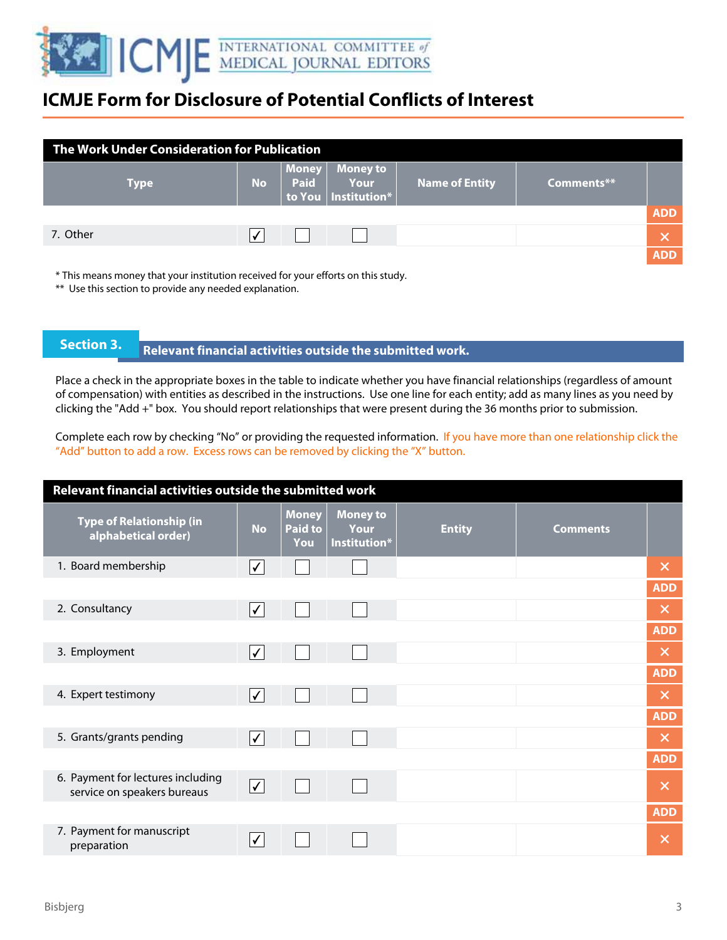

| The Work Under Consideration for Publication |             |           |              |                                                                                                                                      |                       |            |            |  |  |
|----------------------------------------------|-------------|-----------|--------------|--------------------------------------------------------------------------------------------------------------------------------------|-----------------------|------------|------------|--|--|
|                                              | <b>Type</b> | <b>No</b> | <b>Money</b> | Money to<br>$\begin{array}{ c c } \hline \texttt{Pad} & \texttt{Your} \\ \hline \texttt{to You} & \texttt{Institution*} \end{array}$ | <b>Name of Entity</b> | Comments** |            |  |  |
|                                              |             |           |              |                                                                                                                                      |                       |            | <b>ADD</b> |  |  |
| 7. Other                                     |             |           |              |                                                                                                                                      |                       |            | $\times$   |  |  |
|                                              |             |           |              |                                                                                                                                      |                       |            | <b>ADD</b> |  |  |

\* This means money that your institution received for your efforts on this study.

\*\* Use this section to provide any needed explanation.

### **Section 3.** Relevant financial activities outside the submitted work.

Place a check in the appropriate boxes in the table to indicate whether you have financial relationships (regardless of amount of compensation) with entities as described in the instructions. Use one line for each entity; add as many lines as you need by clicking the "Add +" box. You should report relationships that were present during the 36 months prior to submission.

| Relevant financial activities outside the submitted work         |                      |                                       |                                         |               |                 |                           |  |  |
|------------------------------------------------------------------|----------------------|---------------------------------------|-----------------------------------------|---------------|-----------------|---------------------------|--|--|
| <b>Type of Relationship (in</b><br>alphabetical order)           | <b>No</b>            | <b>Money</b><br><b>Paid to</b><br>You | <b>Money to</b><br>Your<br>Institution* | <b>Entity</b> | <b>Comments</b> |                           |  |  |
| 1. Board membership                                              | $\checkmark$         |                                       |                                         |               |                 | $\boldsymbol{\times}$     |  |  |
|                                                                  |                      |                                       |                                         |               |                 | <b>ADD</b>                |  |  |
| 2. Consultancy                                                   | $\blacktriangledown$ |                                       |                                         |               |                 | $\times$                  |  |  |
|                                                                  |                      |                                       |                                         |               |                 | <b>ADD</b>                |  |  |
| 3. Employment                                                    | $\blacktriangledown$ |                                       |                                         |               |                 | $\boldsymbol{\mathsf{x}}$ |  |  |
|                                                                  |                      |                                       |                                         |               |                 | <b>ADD</b>                |  |  |
| 4. Expert testimony                                              | $\blacktriangledown$ |                                       |                                         |               |                 | $\boldsymbol{\mathsf{x}}$ |  |  |
|                                                                  |                      |                                       |                                         |               |                 | <b>ADD</b>                |  |  |
| 5. Grants/grants pending                                         | √                    |                                       |                                         |               |                 | $\times$                  |  |  |
|                                                                  |                      |                                       |                                         |               |                 | <b>ADD</b>                |  |  |
| 6. Payment for lectures including<br>service on speakers bureaus | $\boxed{\checkmark}$ |                                       |                                         |               |                 | $\boldsymbol{\times}$     |  |  |
|                                                                  |                      |                                       |                                         |               |                 | <b>ADD</b>                |  |  |
| 7. Payment for manuscript<br>preparation                         | $\checkmark$         |                                       |                                         |               |                 | $\times$                  |  |  |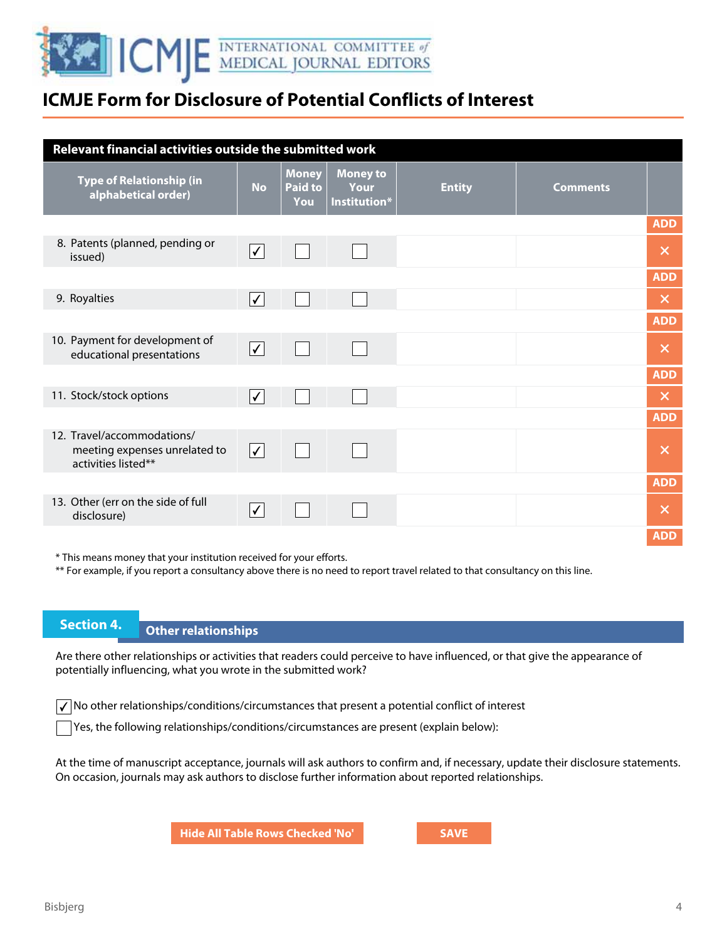

| Relevant financial activities outside the submitted work                           |                             |                                       |                                         |               |                 |                           |  |  |
|------------------------------------------------------------------------------------|-----------------------------|---------------------------------------|-----------------------------------------|---------------|-----------------|---------------------------|--|--|
| <b>Type of Relationship (in</b><br>alphabetical order)                             | <b>No</b>                   | <b>Money</b><br><b>Paid to</b><br>You | <b>Money to</b><br>Your<br>Institution* | <b>Entity</b> | <b>Comments</b> |                           |  |  |
|                                                                                    |                             |                                       |                                         |               |                 | <b>ADD</b>                |  |  |
| 8. Patents (planned, pending or<br>issued)                                         | $\boxed{\checkmark}$        |                                       |                                         |               |                 | $\overline{\mathsf{x}}$   |  |  |
|                                                                                    |                             |                                       |                                         |               |                 | <b>ADD</b>                |  |  |
| 9. Royalties                                                                       | $\blacktriangledown$        |                                       |                                         |               |                 | $\times$                  |  |  |
|                                                                                    |                             |                                       |                                         |               |                 | <b>ADD</b>                |  |  |
| 10. Payment for development of<br>educational presentations                        | $ \checkmark $              |                                       |                                         |               |                 | $\boldsymbol{\times}$     |  |  |
|                                                                                    |                             |                                       |                                         |               |                 | <b>ADD</b>                |  |  |
| 11. Stock/stock options                                                            | $\blacktriangledown$        |                                       |                                         |               |                 | $\times$                  |  |  |
|                                                                                    |                             |                                       |                                         |               |                 | <b>ADD</b>                |  |  |
| 12. Travel/accommodations/<br>meeting expenses unrelated to<br>activities listed** | $ \mathcal{V} $             |                                       |                                         |               |                 | $\boldsymbol{\mathsf{x}}$ |  |  |
|                                                                                    |                             |                                       |                                         |               |                 | <b>ADD</b>                |  |  |
| 13. Other (err on the side of full<br>disclosure)                                  | $ \boldsymbol{\checkmark} $ |                                       |                                         |               |                 | $\boldsymbol{\times}$     |  |  |
|                                                                                    |                             |                                       |                                         |               |                 | <b>ADD</b>                |  |  |

\* This means money that your institution received for your efforts.

\*\* For example, if you report a consultancy above there is no need to report travel related to that consultancy on this line.

 **Other relationships Section 4.**

Are there other relationships or activities that readers could perceive to have influenced, or that give the appearance of potentially influencing, what you wrote in the submitted work?

 $\sqrt{\ }$  No other relationships/conditions/circumstances that present a potential conflict of interest

Yes, the following relationships/conditions/circumstances are present (explain below):

At the time of manuscript acceptance, journals will ask authors to confirm and, if necessary, update their disclosure statements. On occasion, journals may ask authors to disclose further information about reported relationships.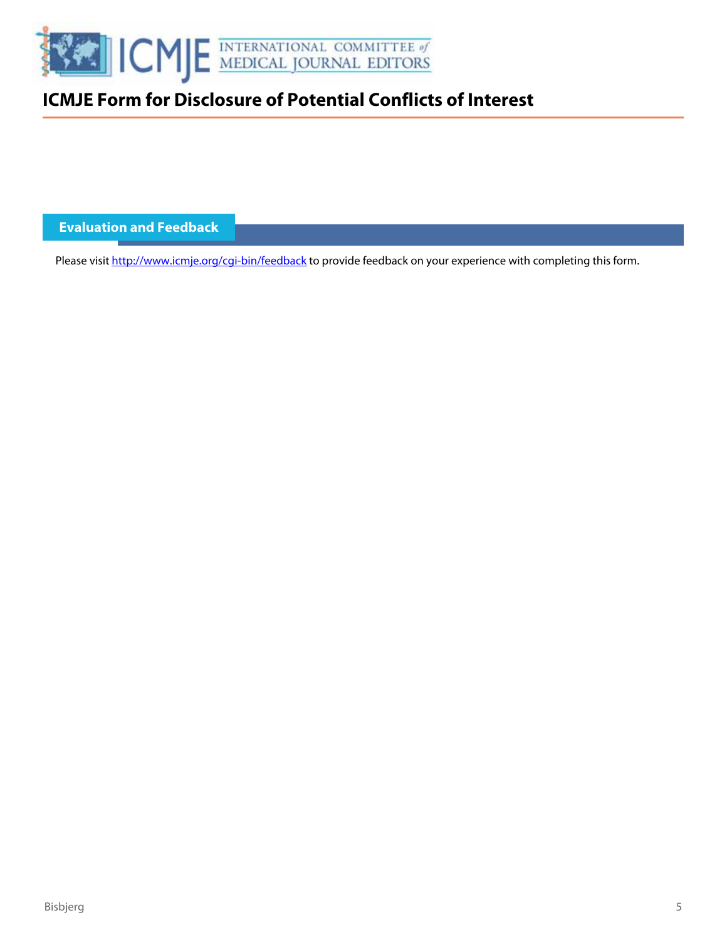

**Evaluation and Feedback**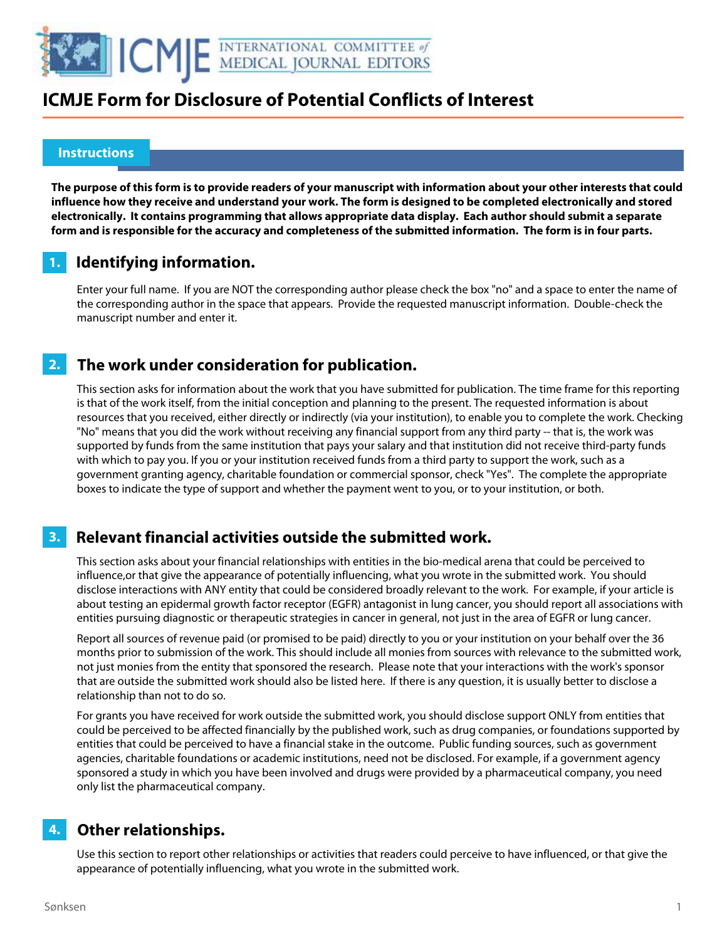

### **Instructions**

l

**The purpose of this form is to provide readers of your manuscript with information about your other interests that could influence how they receive and understand your work. The form is designed to be completed electronically and stored electronically. It contains programming that allows appropriate data display. Each author should submit a separate form and is responsible for the accuracy and completeness of the submitted information. The form is in four parts.** 

### **Identifying information. 1.**

Enter your full name. If you are NOT the corresponding author please check the box "no" and a space to enter the name of the corresponding author in the space that appears. Provide the requested manuscript information. Double-check the manuscript number and enter it.

#### **The work under consideration for publication. 2.**

This section asks for information about the work that you have submitted for publication. The time frame for this reporting is that of the work itself, from the initial conception and planning to the present. The requested information is about resources that you received, either directly or indirectly (via your institution), to enable you to complete the work. Checking "No" means that you did the work without receiving any financial support from any third party -- that is, the work was supported by funds from the same institution that pays your salary and that institution did not receive third-party funds with which to pay you. If you or your institution received funds from a third party to support the work, such as a government granting agency, charitable foundation or commercial sponsor, check "Yes". The complete the appropriate boxes to indicate the type of support and whether the payment went to you, or to your institution, or both.

### **Relevant financial activities outside the submitted work. 3.**

This section asks about your financial relationships with entities in the bio-medical arena that could be perceived to influence,or that give the appearance of potentially influencing, what you wrote in the submitted work. You should disclose interactions with ANY entity that could be considered broadly relevant to the work. For example, if your article is about testing an epidermal growth factor receptor (EGFR) antagonist in lung cancer, you should report all associations with entities pursuing diagnostic or therapeutic strategies in cancer in general, not just in the area of EGFR or lung cancer.

Report all sources of revenue paid (or promised to be paid) directly to you or your institution on your behalf over the 36 months prior to submission of the work. This should include all monies from sources with relevance to the submitted work, not just monies from the entity that sponsored the research. Please note that your interactions with the work's sponsor that are outside the submitted work should also be listed here. If there is any question, it is usually better to disclose a relationship than not to do so.

For grants you have received for work outside the submitted work, you should disclose support ONLY from entities that could be perceived to be affected financially by the published work, such as drug companies, or foundations supported by entities that could be perceived to have a financial stake in the outcome. Public funding sources, such as government agencies, charitable foundations or academic institutions, need not be disclosed. For example, if a government agency sponsored a study in which you have been involved and drugs were provided by a pharmaceutical company, you need only list the pharmaceutical company.

### **Other relationships. 4.**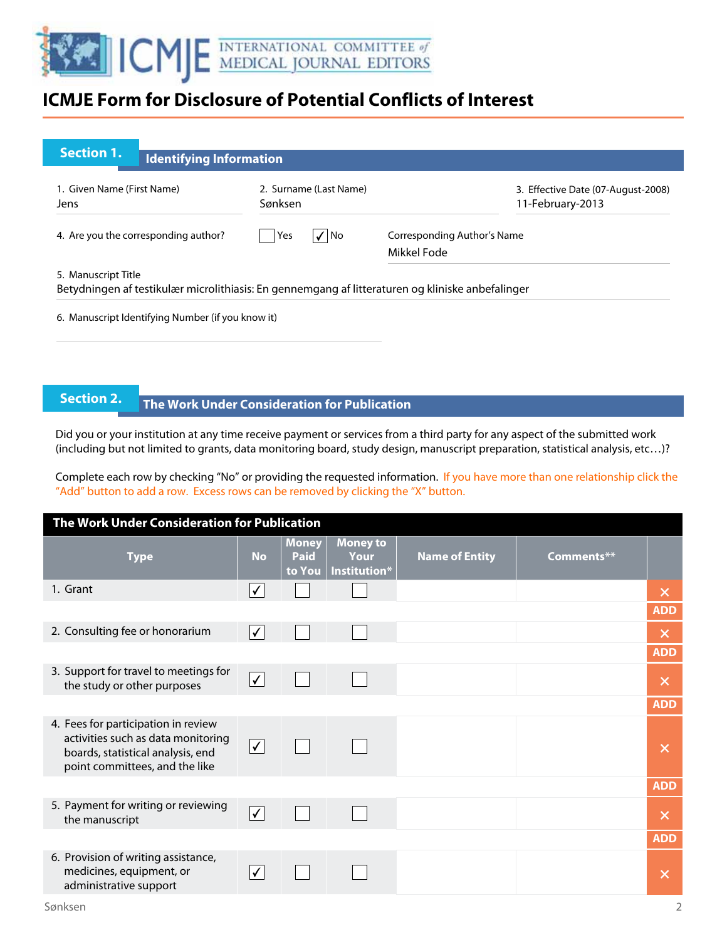

| <b>Section 1.</b>                    | <b>Identifying Information</b> |                                   |                                                                                                  |                                                        |
|--------------------------------------|--------------------------------|-----------------------------------|--------------------------------------------------------------------------------------------------|--------------------------------------------------------|
| 1. Given Name (First Name)<br>Jens   |                                | 2. Surname (Last Name)<br>Sønksen |                                                                                                  | 3. Effective Date (07-August-2008)<br>11-February-2013 |
| 4. Are you the corresponding author? |                                | $\sqrt{ N_{0}}$<br>Yes            | Corresponding Author's Name<br>Mikkel Fode                                                       |                                                        |
| 5. Manuscript Title                  |                                |                                   | Betydningen af testikulær microlithiasis: En gennemgang af litteraturen og kliniske anbefalinger |                                                        |

6. Manuscript Identifying Number (if you know it)

### **The Work Under Consideration for Publication**

Did you or your institution at any time receive payment or services from a third party for any aspect of the submitted work (including but not limited to grants, data monitoring board, study design, manuscript preparation, statistical analysis, etc…)?

| The Work Under Consideration for Publication                                                                                                     |                        |                                       |                                         |                       |            |                       |  |  |  |
|--------------------------------------------------------------------------------------------------------------------------------------------------|------------------------|---------------------------------------|-----------------------------------------|-----------------------|------------|-----------------------|--|--|--|
| <b>Type</b>                                                                                                                                      | <b>No</b>              | <b>Money</b><br><b>Paid</b><br>to You | <b>Money to</b><br>Your<br>Institution* | <b>Name of Entity</b> | Comments** |                       |  |  |  |
| 1. Grant                                                                                                                                         | $ \mathcal{V} $        |                                       |                                         |                       |            | $\times$              |  |  |  |
|                                                                                                                                                  |                        |                                       |                                         |                       |            | <b>ADD</b>            |  |  |  |
| 2. Consulting fee or honorarium                                                                                                                  | $ \mathcal{V} $        |                                       |                                         |                       |            | $\times$              |  |  |  |
|                                                                                                                                                  |                        |                                       |                                         |                       |            | <b>ADD</b>            |  |  |  |
| 3. Support for travel to meetings for<br>the study or other purposes                                                                             | $ \blacktriangledown $ |                                       |                                         |                       |            | $\times$              |  |  |  |
|                                                                                                                                                  |                        |                                       |                                         |                       |            | <b>ADD</b>            |  |  |  |
| 4. Fees for participation in review<br>activities such as data monitoring<br>boards, statistical analysis, end<br>point committees, and the like | $\boxed{\checkmark}$   |                                       |                                         |                       |            | $\boldsymbol{\times}$ |  |  |  |
|                                                                                                                                                  |                        |                                       |                                         |                       |            | <b>ADD</b>            |  |  |  |
| 5. Payment for writing or reviewing<br>the manuscript                                                                                            | $\boxed{\checkmark}$   |                                       |                                         |                       |            | $\times$              |  |  |  |
|                                                                                                                                                  |                        |                                       |                                         |                       |            | <b>ADD</b>            |  |  |  |
| 6. Provision of writing assistance,<br>medicines, equipment, or<br>administrative support                                                        | $\blacktriangledown$   |                                       |                                         |                       |            | $\times$              |  |  |  |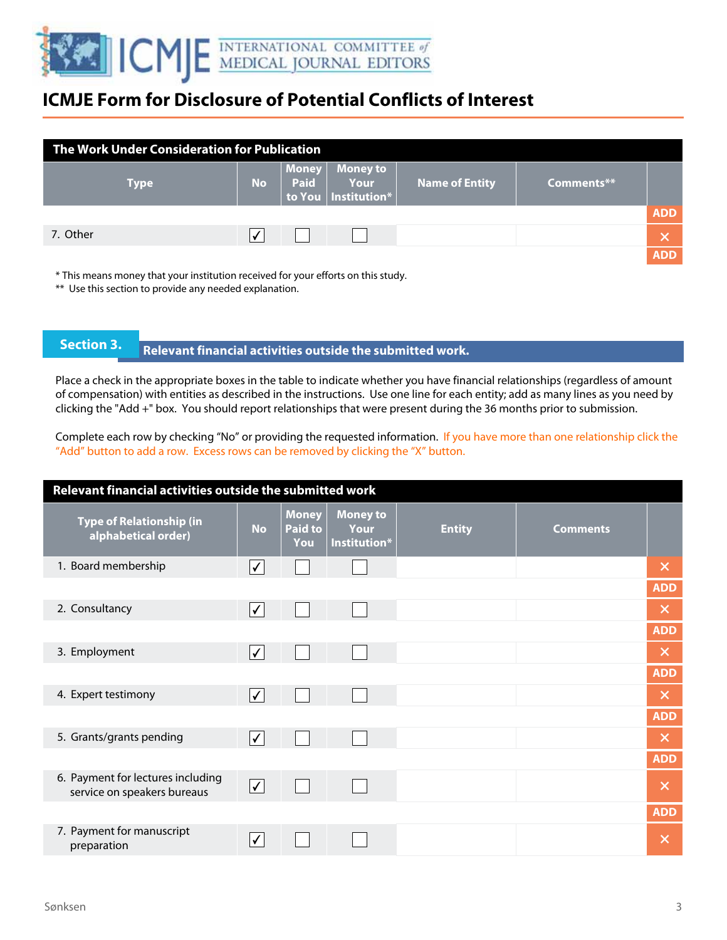

| The Work Under Consideration for Publication |             |           |              |                                                                                                                                      |                       |            |            |  |  |
|----------------------------------------------|-------------|-----------|--------------|--------------------------------------------------------------------------------------------------------------------------------------|-----------------------|------------|------------|--|--|
|                                              | <b>Type</b> | <b>No</b> | <b>Money</b> | Money to<br>$\begin{array}{ c c } \hline \texttt{Pad} & \texttt{Your} \\ \hline \texttt{to You} & \texttt{Institution*} \end{array}$ | <b>Name of Entity</b> | Comments** |            |  |  |
|                                              |             |           |              |                                                                                                                                      |                       |            | <b>ADD</b> |  |  |
| 7. Other                                     |             |           |              |                                                                                                                                      |                       |            | $\times$   |  |  |
|                                              |             |           |              |                                                                                                                                      |                       |            | <b>ADD</b> |  |  |

\* This means money that your institution received for your efforts on this study.

\*\* Use this section to provide any needed explanation.

### **Section 3.** Relevant financial activities outside the submitted work.

Place a check in the appropriate boxes in the table to indicate whether you have financial relationships (regardless of amount of compensation) with entities as described in the instructions. Use one line for each entity; add as many lines as you need by clicking the "Add +" box. You should report relationships that were present during the 36 months prior to submission.

| Relevant financial activities outside the submitted work         |                      |                                       |                                         |               |                 |                           |  |  |
|------------------------------------------------------------------|----------------------|---------------------------------------|-----------------------------------------|---------------|-----------------|---------------------------|--|--|
| <b>Type of Relationship (in</b><br>alphabetical order)           | <b>No</b>            | <b>Money</b><br><b>Paid to</b><br>You | <b>Money to</b><br>Your<br>Institution* | <b>Entity</b> | <b>Comments</b> |                           |  |  |
| 1. Board membership                                              | $\checkmark$         |                                       |                                         |               |                 | $\boldsymbol{\times}$     |  |  |
|                                                                  |                      |                                       |                                         |               |                 | <b>ADD</b>                |  |  |
| 2. Consultancy                                                   | $\blacktriangledown$ |                                       |                                         |               |                 | $\times$                  |  |  |
|                                                                  |                      |                                       |                                         |               |                 | <b>ADD</b>                |  |  |
| 3. Employment                                                    | $\blacktriangledown$ |                                       |                                         |               |                 | $\boldsymbol{\mathsf{x}}$ |  |  |
|                                                                  |                      |                                       |                                         |               |                 | <b>ADD</b>                |  |  |
| 4. Expert testimony                                              | $\blacktriangledown$ |                                       |                                         |               |                 | $\boldsymbol{\mathsf{x}}$ |  |  |
|                                                                  |                      |                                       |                                         |               |                 | <b>ADD</b>                |  |  |
| 5. Grants/grants pending                                         | √                    |                                       |                                         |               |                 | $\times$                  |  |  |
|                                                                  |                      |                                       |                                         |               |                 | <b>ADD</b>                |  |  |
| 6. Payment for lectures including<br>service on speakers bureaus | $\boxed{\checkmark}$ |                                       |                                         |               |                 | $\boldsymbol{\times}$     |  |  |
|                                                                  |                      |                                       |                                         |               |                 | <b>ADD</b>                |  |  |
| 7. Payment for manuscript<br>preparation                         | $\checkmark$         |                                       |                                         |               |                 | $\times$                  |  |  |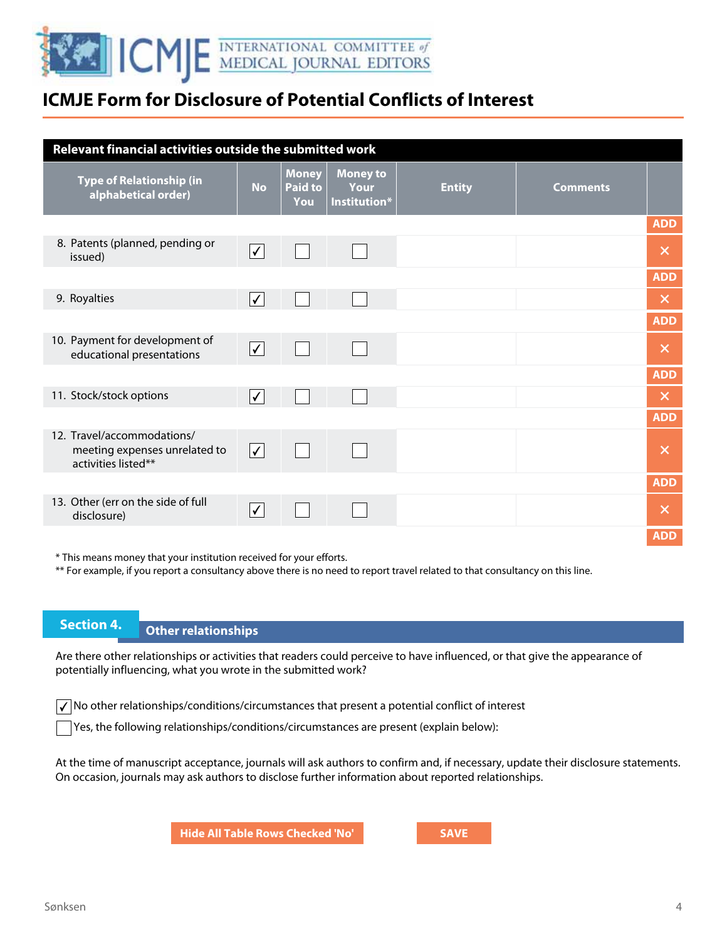

| Relevant financial activities outside the submitted work                           |                                |                                       |                                         |               |                 |                       |  |  |
|------------------------------------------------------------------------------------|--------------------------------|---------------------------------------|-----------------------------------------|---------------|-----------------|-----------------------|--|--|
| <b>Type of Relationship (in</b><br>alphabetical order)                             | <b>No</b>                      | <b>Money</b><br><b>Paid to</b><br>You | <b>Money to</b><br>Your<br>Institution* | <b>Entity</b> | <b>Comments</b> |                       |  |  |
|                                                                                    |                                |                                       |                                         |               |                 | <b>ADD</b>            |  |  |
| 8. Patents (planned, pending or<br>issued)                                         | $\vert\blacktriangledown\vert$ |                                       |                                         |               |                 | $\boldsymbol{\times}$ |  |  |
|                                                                                    |                                |                                       |                                         |               |                 | <b>ADD</b>            |  |  |
| 9. Royalties                                                                       | $\blacktriangledown$           |                                       |                                         |               |                 | $\times$              |  |  |
|                                                                                    |                                |                                       |                                         |               |                 | <b>ADD</b>            |  |  |
| 10. Payment for development of<br>educational presentations                        | $\boxed{\checkmark}$           |                                       |                                         |               |                 | $\times$              |  |  |
|                                                                                    |                                |                                       |                                         |               |                 | <b>ADD</b>            |  |  |
| 11. Stock/stock options                                                            | ∣✓                             |                                       |                                         |               |                 | $\times$              |  |  |
|                                                                                    |                                |                                       |                                         |               |                 | <b>ADD</b>            |  |  |
| 12. Travel/accommodations/<br>meeting expenses unrelated to<br>activities listed** | $ \mathcal{V} $                |                                       |                                         |               |                 | $\times$              |  |  |
|                                                                                    |                                |                                       |                                         |               |                 | <b>ADD</b>            |  |  |
| 13. Other (err on the side of full<br>disclosure)                                  | $ \blacktriangledown $         |                                       |                                         |               |                 | $\times$              |  |  |
|                                                                                    |                                |                                       |                                         |               |                 | <b>ADD</b>            |  |  |

\* This means money that your institution received for your efforts.

\*\* For example, if you report a consultancy above there is no need to report travel related to that consultancy on this line.

 **Other relationships Section 4.**

Are there other relationships or activities that readers could perceive to have influenced, or that give the appearance of potentially influencing, what you wrote in the submitted work?

 $\sqrt{\ }$  No other relationships/conditions/circumstances that present a potential conflict of interest

Yes, the following relationships/conditions/circumstances are present (explain below):

At the time of manuscript acceptance, journals will ask authors to confirm and, if necessary, update their disclosure statements. On occasion, journals may ask authors to disclose further information about reported relationships.